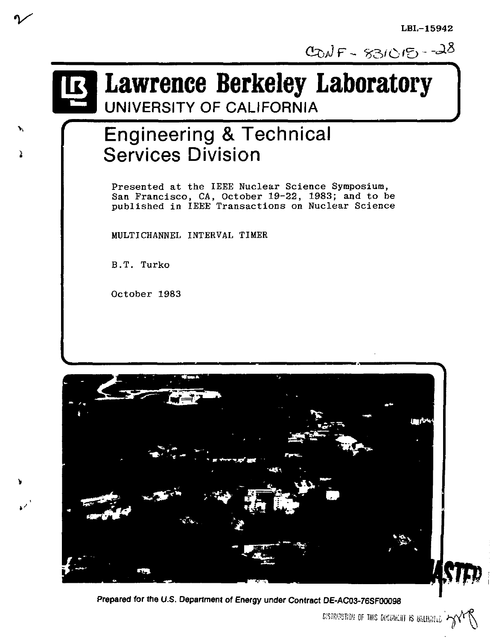$0$ *O* $\sqrt{5}$  +  $\sqrt{3}$ / $\sqrt{2}$ / $\sqrt{2}$ 

# **Lawrence Berkeley Laboratory**

UNIVERSITY OF CALIFORNIA

## Engineering & Technical Services Division

Presented at the IEEE Nuclear Science Symposium, San Francisco, CA, October 19-22, 1983; and to be published in IEEE Transactions on Nuclear Science

MULTICHANNEL INTERVAL TIMER

B.T. Turko

October 1983



**Prepared for the U.S. Department of Energy under Contract DE-AC03-76SF00098** 

EISTRIRUTION OF THIS BOUGHLIFT IS BRUINILE  $\gamma$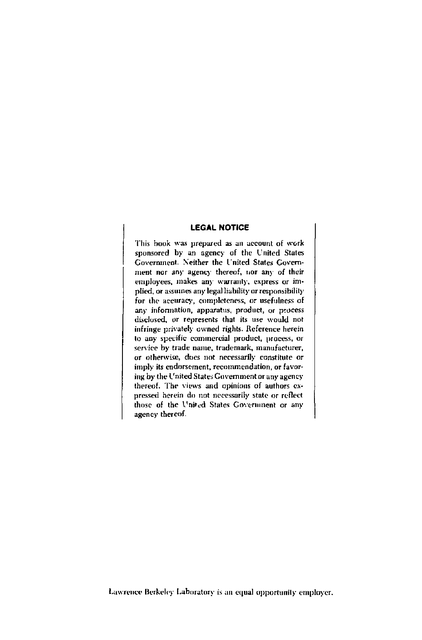#### **LEGAL NOTICE**

This book was prepared as an account of work sponsored by an agency of the L'nited States Government. Neither the L'nited States Government nor any agency thereof, nor any of their employees, makes any warranty, express or implied, or assumes any legal liability or responsibility for the accuracy, completeness, or usefulness of any information, apparatus, product, or process disclosed, or represents that its use would not infringe privately owned rights. Reference herein to any specific commercial product, process, or service by trade name, trademark, manufacturer, or otherwise, does not necessarily constitute or imply its endorsement, recommendation, or favoring by the I'nited States Government or any agency thereof. The views and opinions of authors expressed herein do not necessarily state or reflect those of the United States Government or any agency thereof.

Lawrence Berkeley Laboratory is an equal opportunity employer.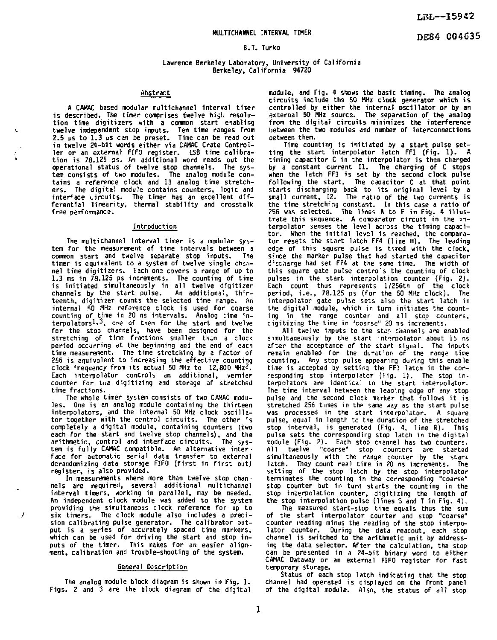DE84 C04G35

#### **B.T. Turko**

#### Lawrence Berkeley Laboratory, University of California Berkeley, California 94720

### Abstract

A CAMAC based modular multichannel interval timer is described. The timer comprises twelve hicjh resolution time digitizers with a common start enabling twelve independent stop inputs. Ten time ranges from 2.5 us to 1.3 us can be preset. Time can be read out in twelve 24-bit words either via CAMAC Crate Controller or an external FIFO register. LSB time calibra-tion is 78.125 ps. An additional word reads out the operational status of twelve stop channels. The system consists of two modules. The analog module con-tains a reference clock and 13 analog time stretchers. The digital module contains counters, logic and ers. The argival module contains councers, logic dif-<br>interface circuits. The timer has an excellent diffree performance.

#### Introduction

The multichannel interval timer is a modular system for the measurement of time intervals between a common start and twelve separate stop inputs. The timer is equivalent to a system of twelve single channel time digitizers. Each ona covers a range of up to 1.3 ms in 78.125 ps increments. The counting of time is initiated simultaneously in all twelve digitizer channels by the start pulse. An additional, thirteenth, digitizer counts the selected time range. An internal 50 MHz reference clock is used for coarse counting of time in 20 ns intervals. Analog time interpolators1,3, one of them for the start and twelve for the stop channels, have been designed for the stretching of time fractions smaller than a clock period occurring at the beginning ani the end of each time measurement. The time stretching by a factor of 256 is equivalent to increasing the effective counting clock frequency from its actual 50 MHz to 12,800 MHz2. clock requency from its actual of mix to 12,000 mix-<br>Each interpolator controls an additional, vernier counter for the digitizing and storage of stretched<br>time fractions.

The whole timer system consists of two CAMAC modules. One is an analog module containing the thirteen interpolators, and the internal 50 MHz clock oscillator together with the control circuits. The other is completely a digital module, containing counters (two each for the start and twelve stop channels), and the arithmetic, control and interface circuits. The system is fully CAMAC compatible. An alternative inter-<br>face for automatic serial data transfer to external<br>derandomizing data storage FIFO (first in first out) register, is also provided.

In measurements where more than twelve stop channels are required, several additional multichannel interval timers, working in parallel, may be needed. An independent clock module was added to the system providing the simultaneous clock reference for up to six timers. The clock module also includes a precision calibrating pulse generator. The calibrator output is a series of accurately spaced time markers, which can be used for driving the start and stop inputs of the timer. This makes for an easier alignment, calibration and trouble-shooting of the system.

 $\overline{1}$ 

#### General Description

The analog module block diagram is shown in Fig. 1. Figs. 2 and 3 are the block diagram of the digital module, and Fig. 4 shows the basic timing. The analog circuits include the 50 MHz clock generator which i s controlled by either the internal oscillator or by an external 50 MHz source. The separation of the analog from the digital circuits minimizes the interference between the two modules and number of interconnections between them.

Time counting is initiated by a start pulse setting the start interpolator latch FF1 (Fig. 1). A timing capacitor C in the interpolator is then charged by a constant current II . The charging of C stops when the latch FF3 is set by the second clock pulse following the start. The capacitor C at that point starts discharging back to its original level by a small current, 12. The ratio of the two currents is the time stretching constant. In this case a ratio of 256 was selected. The lines A to F in Fig. 4 illus trate this sequence. A comparator circuit in the in terpolator senses the level across the timing capaci-tor. When the initia l level is reached, the comparator resets the start latch FF4 (line H). The leading edge of this square pulse is timed with the clock, since the marker pulse that had started the capacitor discharge had set FF4 at the same time. The width of this square gate pulse contro's the counting of clock pulses in the start interpolation counter (Fig. 2).<br>Each count thus represents 1/256th of the clock<br>period, i.e., 78.125 ps (for the 50 MHz clock). The interpolator gate puise sets also the start laten in<br>the digital module, which in turn initiates the count-<br>ing in the range counter and all stop counters,

All twelve inputs to the step channels are enabled simultaneously by the start interpolator about 15 ns after the acceptance of the start signal. The inputs remain enabled for the duration of the range time counting. Any stop pulse appearing during this enable<br>time is accepted by setting the FF1 latch in the cor-<br>responding stop interpolator (Fig. 1). The stop in-<br>terpolators are identical to the start interpolator. The time interval between the leading edge of any stop pulse and the second clock marker that follows it is stretched 256 times in thp same way as the start pulse was processed in the start interpolator. A square was pulse, equal in length to the duration of the stretched<br>stop interval, is generated (Fig. 4, 1 ine R). This<br>pulse sets the corresponding stop latch in the digital module {Fig. 2). Each stop channel has two counters. modus (ivis etc. carse" stop counters are started<br>
simultaneously with the range counter by the start<br>
latch. They count real time in 20 ns increments. The<br>
latch. They count real time in 20 ns increments. setting of the stop latch by the stop interpolator<br>terminates the counting in the corresponding "coarse" stop counter but in turn starts the counting in the stop counter out in turn starts the counting in the<br>stop interpolation counter, digitizing the length of

The measured start-stop time equals thus the sum of the start interpolator counter and stop "coarse" counter reading minus the reading of the stop interpolator counter. During the data readout, each stop channel is switched to the arithmetic unit by addressing the data selector. After the calculation, the stop can be presented in a 24-bit binary word to either CAMAC Dataway or an external FIFO register for fast temporary storage.

Status of each stop latch indicating that the stop channel had operated is displayed on the front panel of the digital module. Also, the status of all stop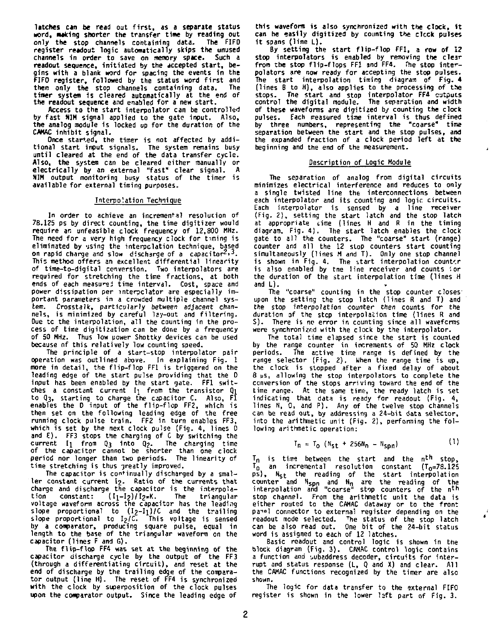latches can be read out first, as a separate status word, making shorter the transfer time by reading out only the stop channels containing data. The FIFO register readout logic automatically skips the unused channels in order to save on memory space. Such a readout sequence, initiated by the accepted start, begins with a blank word for spacing the events in the<br>FIFO register, followed by the status word first and<br>then only the stop channels containing data. The<br>timer system is cleared automatically at the end of the readout sequence and enabled for a new start.

Access to the start interpolator can be controlled by fast AIM signal applied to the gate input. Also, the analog module is locked up for the duration of the CAMAC inhibit signal.

Once started, the timer is not affected by additional start input signals. The system remains busy until cleared at the end of the data transfer cycle. Also, the system can be cleared either manually or electrically by an external "fast" clear signal. A NIM output monitoring busy status of the timer is available for external timing purposes.

#### Interpolation Technique

In order to achieve an incremental resolution of 78.125 ps by direct counting, the time digitizer would require an unfeasible clock frequency of 12,800 MHz. The need for a very high frequency clock for timing is eliminated by using the interpolation technique, based on rapid charge and slow discharge of a capacitor $2,3$ . This method offers an excellent differential linearity of time-to-digital conversion. Two interpolators are required for stretching the time fractions, at both ends of each measured time interval. Cost, space and power dissipation per interpolator are especially important parameters in a crowded multiple channel system. Crosstalk, particularly between adjacent chan-nels, is minimized by careful lay-out and filtering. Due tc the interpolation, all the counting in the process of time digitization can be done by a frequency of 50 MHz. Thus low power Shottky devices can be used because of this relatively low counting speed.

The principle of a start-stop interpolator pair operation was outlined above. In explaining Fig. 1 more in detail, the flip-flop FF1 is triggered on the leading edge of the start pulse providing that the D input has been enabled by the start gate. FF1 switches a constant current *l\* from the transistor Qi to Q3, starting to charge the capacitor C. Also, Fl enables the D input of the flip-flop FF2, which is then set on the following leading edge of the free running clock pulse train. FF2 in turn enables FF3, which is set by the next clock pulse (Fig. 4, lines 0<br>and E). FF3 stops the charging of C by switching the<br>current I from Q<sub>3</sub> into Q<sub>2</sub>. The charging time<br>current I from Q<sub>3</sub> into Q<sub>2</sub>. The charging time<br>of the capacitor time stretching is thus greatly improved.

The capacitor is continually discharged by a smaller constant current I2. Ratio of the currents that charge and discharge the capacitor is the interpola-<br>tion constant:  $(I_1-I_2)/I_2$ \*K. The triangular The triangular voltage waveform across the capacitor has the leading slope proportional to (I2-Ii)/C and the trailing slope proportional to I2/C. This voltage is sensed by a comparator, producing square pulse, equal in length to the base of the triangular waveform on the capacitor (lines F and G).

The flip-flop FF4 was set at the beginning of the capacitor discharge cycle by the output of the FF3 (through a differentiating circuit), and reset at the end of discharge by the trailing edge of the comparator output (line H). The reset of FF4 is synchronized with the clock by superposition of the clock pulses upon the comparator output. Since the leading edge of this waveform is also synchronized with the clock, it can be easily digitized by counting the cicck pulses it spans (line  $L$ ).

By setting the start flip-flop FF1, a row of 12 stop interpolators is enabled by removing the clear from the stop flip-flops FF1 3nd FF4. The stop interpolators are now ready for accepting the stop pulses. The start interpolation timing diagram of Fig. 4 (lines B to H), also applies to the processing of the stops. The start and stop interpolator FF4 outputs control the digital module. The separation and width of these waveforms are digitized by counting the clock pulses. Each rreasured time interval is thus defined .<br>by three numbers, representing the "coarse" time<br>separation between the start and the stop pulses, and the expanded fraction of a clock period left at the beginning and the end of the measurement.

#### Description of Logic Module

The separation of analog from digital circuits minimizes electrical interference and reduces to only a single twisted line the interconnections between each interpolator and its counting and logic circuits. Each interpolator is sensed by a line receiver (Fig. 2), setting the start latch and the stop latch at appropriate time (lines H and R in the timing diagram. Fig. 4). The start latch enables the clock gate to all the counters. The "coarse" start (range) counter and all the 12 stop counters start counting simultaneously (lines M and T). Only one stop channel is shown in Fig. 4. The start interpolation counter is also enabled by tne line receiver and counts ; or the duration of the start interpolation time (lines H and L).

The "coarse" counting in the stop counter closes upon the setting the stop latch (lines R and T) and the stop interpolation counter then counts for the duration of the step interpolation time (lines R and S). There is no error in counting since all waveforms were synchronized with the clock by the interpolator.

The total time elapsed since the start is counted by the range counter in increments of 50 MHz clock periods. The active time range is defined by the range selector (Fig. 2). When the range time is up, the clock is stopped after a fixed delay of about 8 us, allowing the stop interpolators to complete the conversion of the stops arriving toward the end of the time range. At the same time, the ready latch is set indicating that data is ready for readout (Fig. 4, lines N, 0, and P). Any of the twelve stop channels can be read out, by addressing a 24-bit data selector, into the arithmetic unit (Fig. 2), performing the following arithmetic operation:

$$
T_n = T_0 (N_{st} + 256N_n - N_{snn})
$$
 (1)

T<sub>n</sub> is time between the start and the n<sup>th</sup> stop,  $T_0$  an incremental resolution constant  $(T_0=78.125)$ ps), N<sub>st</sub> the reading of the start interpolation<br>counter and N<sub>spn</sub> and N<sub>n</sub> are the reading of the<br>interpolation and "coarse" stop counters of the n<sup>th</sup> stop channel. From the arithmetic unit the data is either routed to the CAMAC dataway or to the front<br>panel connector to external register depending on the readout mode selected. <sup>T</sup>he status of the stop latch can be also read out. One bit of the 24-bit status

word is assigned to each of 12 latches. Basic readout and control logic is shown in the block diagram (Fig. 3). CAMAC control logic contains a function and subaddress decoder, circuits for interrupt and status response (L, Q and X) and clear. All the CAMAC functions recognized by the timer are also shown.

The logic for data transfer to the external FIFO register is shown in the lower laft part of Fig. 3.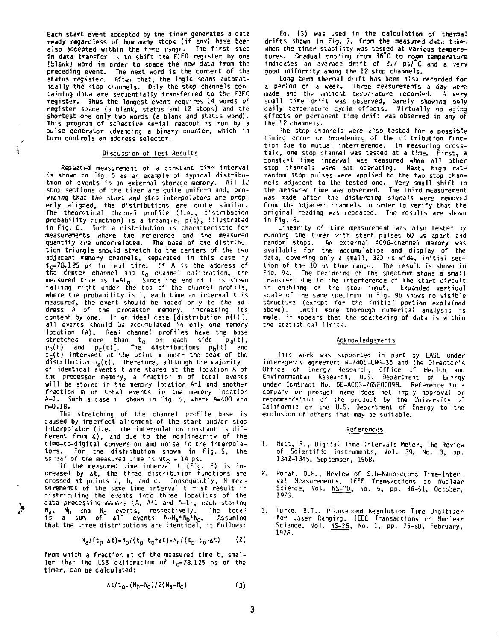Each start event accepted by the timer generates a data<br>ready regardless of how many stops (if any) have been<br>also accepted within the time range. The first step in data transfer is to shift the FIFO register by one (blank) word in order to space the new data from the preceding event. The next word is the content of the<br>status register. After that, the logic scans automatically the «top channels. Only the stop channels containing data are sequentially transferred to the FIFO register. Thus the longest event requires 14 words of register space (a blank, status and 12 stops) and the shortest one only two words (a blank and status word). This program of selective serial readout is run by a<br>pulse generator advancing a binary counter, which in turn controls an address selector.

#### Discussion of Test Results

î

).

Repeated measurement of a constant time interval is shown in Fig. 5 as an example of typical distribution of events in an external storage memory. All 12 stop sections of the timer are quite uniform and, providing that the start and stco interpolators are properly aligned, the distributions are quite similar.<br>The theoretical channel profile (i.e., distribution probability function) is a triangle,  $p(t)$ , illustrated in Fig. 6. Surh a distribution is characteristic for measurements where the reference and the measured quantity are uncorrelated. The base of the distribution triangle should stretch to the centers of the two adjacent memory channels, separated in this case by  $t_0$ =78.125 ps in real time. If A is the address of the center channel and t<sub>o</sub> channel calibration, the<br>measured ti;ie is t=At<sub>0</sub>, Since the end of t is shown<br>falling ri;th under the stop of the channel profile where the probability is  $1$ , each time an interval  $t$  is  $\frac{1}{2}$ . dress A of the processor memory, increasing its content by one. In an ideal case [distribution  $p(t)$ ]. all events should be accumulated in only one memory location (A). Real channel profiles have the base istance in the than to one each side  $[p_0(t)]$ , the state is side  $[p_0(t)]$ , the distributions  $p_0(t)$  and  $p_0(t)$ . The distributions  $p_0(t)$  and distribution  $p_0(t)$ , the point m under the peak of the distribution  $p_0(t)$ . T or identical events t are stored at the location A of<br>the processor memory, a fraction m of total events<br>will be stored in the memory location A+1 and another<br>fraction m of total events in the memory location A-1. Such a case i shown in Fig. 5, where A=400 and<br>m=0.18.

The stretching of the channel profile base is<br>caused by imperfect alignment of the start and/or stop interpolator (i.e., the interpolation constant is different from  $K$ ), and due to the nonlinearity of the time-to-digital conversion and noise in the interpolators. For the distribution shown in Fig. 5, the  $sp^{-1}$ a<sup>4</sup> of the measured lime is  $m_{\tilde{C}} = 14$  ps.<br>If the measured time interval t (Fig. 6) is in-

creased by At, the three distribution functions are crossed at points a, b, and c. Consequently, N measurements of the same time interval  $t + \Delta t$  result in distributing the events into three locations of the<br>data processing memory (A, A\*l and A-l), each storing N<sub>a</sub>, N<sub>b</sub> and N<sub>c</sub> events, respectively. The total<br>is a sum of all events N=N<sub>a</sub>+N<sub>b</sub>+N<sub>b+</sub><br>that the three distributions are identical it follows:

$$
N_a / (t_n - \Delta t) = N_b / (t_n - t_n + \Delta t) = N_c / (t_n - t_n - \Delta t)
$$
 (2)

from which a fraction at of the measured time t. smaller than the LSB calibration of  $t_0 = 78.125$  ps of the timer, can be calculated:

$$
\Delta t / t_0 = (N_0 - N_c) / 2(N_a - N_c) \tag{3}
$$

Eq.  $(3)$  was used in the calculation of thermal drifts shown in Fig. 7, from the measured data taken when the timer stability was tested at various temperatures. Gradual cooling from 36°C to room temperature<br>indicates an average drift of 2.7 ps/°C and a very good uniformity among the 12 stop channels.

Long term thermal drift has been also recorded for a period of a week. Three measurements a day were<br>made and the ambient temperature recorded. *'* very small time drift was observed, barely showing only daily temperature cycle effects. Virtually no aging<br>effects or permanent time drift was observed in any of the 12 channels.

the stop channels were also tested for a possible timing error or broadening of the di tribution function due to mutual interference. In measuring crosstalk , one stop channel was tested at a time. First , a constant time interval was measured when all other stop channels were not operating . Next, hign rate random stop pulses were applied to the two stop channels adjacent to the tested one. Very small shift in<br>the measured time was observed. The third measurement was made after the disturbing signals were removed from the adjacent channels in order to verify that the original reading was repeated. The results are shown i n Fig . 3.

Linearity of time measurement was also tested by running the timer with start pulses 60 µs apart and<br>random stops. An external 4096-channel memory was available for the accumulation and display of the data, covering only a small, 320 ns wide, initial section of the 10 us time range. The result is shown in Fig. 9a. The beginning of the spectrum shows a small transient due to the interference of the start circuit in enabling of the stop input. Expanded vertical<br>scale of the same spectrum in Fig. 9b shows no visible<br>structure (exrent for the initial nortion explained above). Until more thorough numerical analysis is made, it appears that the scattering of data is within the statistical limits.

#### Acknowledgements

This work was supported in part by LASL under interagency agreement W-7405-ENG-36 and the Director' s Office of Energy Research, Office of Health and Environmental Research, U.S. Department of Energy under Contract No. 0E-ACO3-76SF00098. Reference to a company or product name does not imply approval or recommendation of the product by the University of<br>California or the U.S. Department of Energy to the exclusion of others that may be suitable.

#### References

- 1. Nutt, R., Digital Time Intervals Meter, The Review of Scientific Instruments, Vol. 39, No. 3, op. 1342-1345, September, 1968.
- 2. Porat, O.F., Review of Sub-Nanosecond Time-Inter-val Measurements, IEEE Transactions on Nuclear Science, Vol. NS-^O, No. 5, pp. 36-51, October, 1973.
- Turko, S.T., Picosecond Resolution Time Digitizer for Laser Ranging, IEEE Transactions on Nuclear<br>Science, Vol. NS—25, No. 1, pp. 75—80, February, 1978.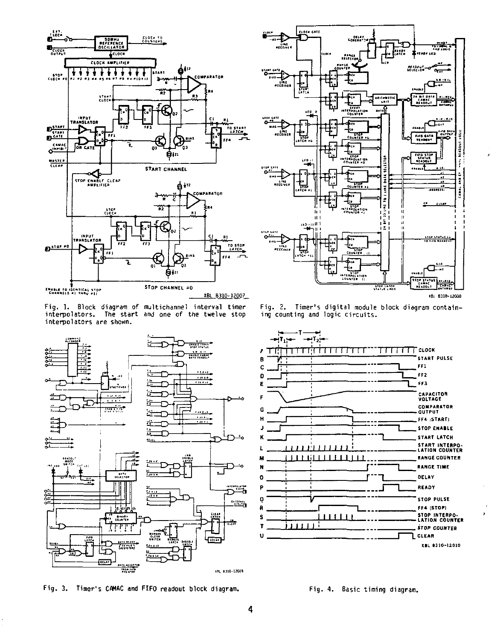

**Fig. 1. Block diagram of multichannel interval timer interpolators. The start and one of the twelve stop interpolators are shown.** 



Fig. 3. Timer's CAMAC and FIFO readout block diagram. Fig. 4. Basic timing diagram.



Fig. 2. Timer's digital module block diagram containing counting and logic circuits.

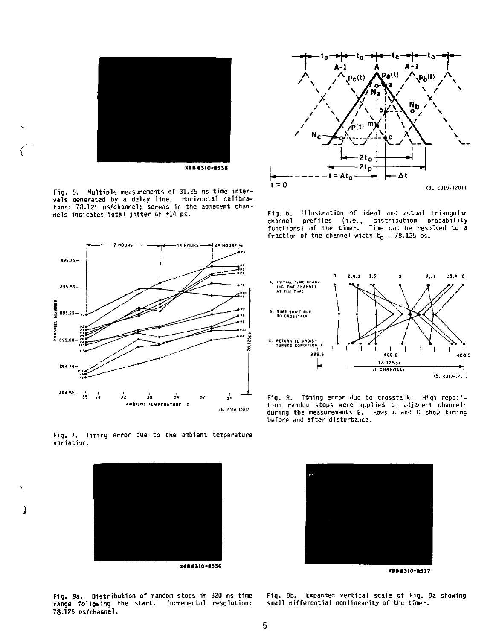

**Fig. 5. Multiple measurements of 31.25 ns time intervals generated by a delay line. Horizontal calibra-tion: 78.125 ps/channel; spread in the aojacent channels indicates total jitter of ±14 ps.** 



**Fig. 6. II lustration if ideal and actual triangular channel profiles (i.e., distribution proDability functions) of the timer. Time can be resolved to a**   $frac{1}{100}$  of the channel width  $t_0$  = 78.125 ps.





Fig. 8. Timing error due to crosstalk. High repeti**tion random stops were applied to adjacent channel:" during the measurements B. Rows A and C show timing before and after disturbance.** 

**Fig. 7. Timing error due to the ambient temperature variation.** 

k,



**Fig. 9a. Distribution of random stops in 320 ns time range following the start. Incremental resolution: 78.125 ps/channel.** 



**Xttl3IO-«337** 

**Fig. 9b. Expanded vertical scale of Fig. 9a showing small differential nonlinearity of the timer.**